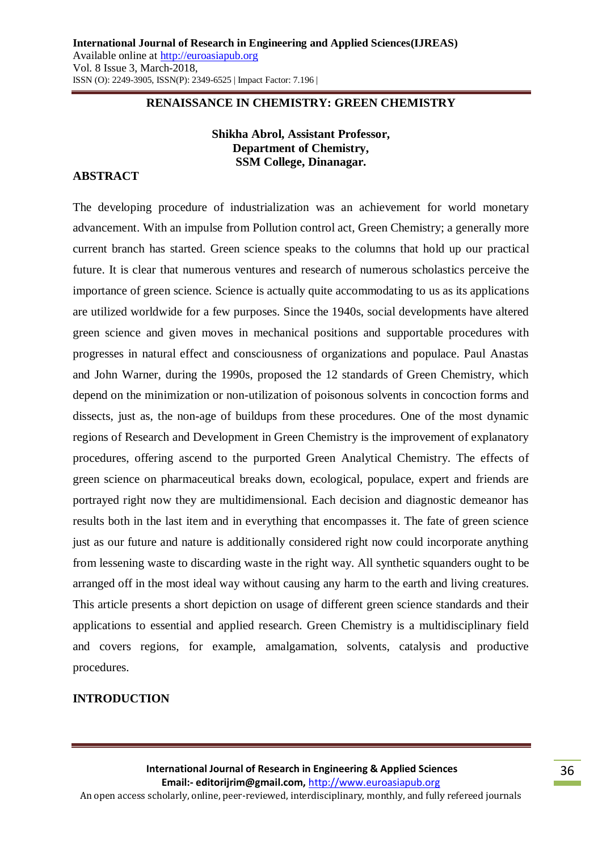#### **RENAISSANCE IN CHEMISTRY: GREEN CHEMISTRY**

### **Shikha Abrol, Assistant Professor, Department of Chemistry, SSM College, Dinanagar.**

#### **ABSTRACT**

The developing procedure of industrialization was an achievement for world monetary advancement. With an impulse from Pollution control act, Green Chemistry; a generally more current branch has started. Green science speaks to the columns that hold up our practical future. It is clear that numerous ventures and research of numerous scholastics perceive the importance of green science. Science is actually quite accommodating to us as its applications are utilized worldwide for a few purposes. Since the 1940s, social developments have altered green science and given moves in mechanical positions and supportable procedures with progresses in natural effect and consciousness of organizations and populace. Paul Anastas and John Warner, during the 1990s, proposed the 12 standards of Green Chemistry, which depend on the minimization or non-utilization of poisonous solvents in concoction forms and dissects, just as, the non-age of buildups from these procedures. One of the most dynamic regions of Research and Development in Green Chemistry is the improvement of explanatory procedures, offering ascend to the purported Green Analytical Chemistry. The effects of green science on pharmaceutical breaks down, ecological, populace, expert and friends are portrayed right now they are multidimensional. Each decision and diagnostic demeanor has results both in the last item and in everything that encompasses it. The fate of green science just as our future and nature is additionally considered right now could incorporate anything from lessening waste to discarding waste in the right way. All synthetic squanders ought to be arranged off in the most ideal way without causing any harm to the earth and living creatures. This article presents a short depiction on usage of different green science standards and their applications to essential and applied research. Green Chemistry is a multidisciplinary field and covers regions, for example, amalgamation, solvents, catalysis and productive procedures.

### **INTRODUCTION**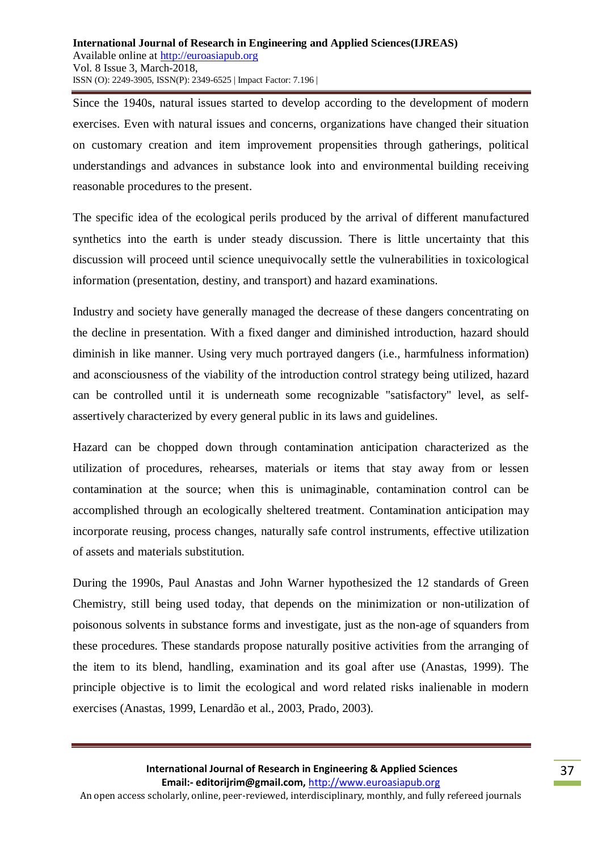Since the 1940s, natural issues started to develop according to the development of modern exercises. Even with natural issues and concerns, organizations have changed their situation on customary creation and item improvement propensities through gatherings, political understandings and advances in substance look into and environmental building receiving reasonable procedures to the present.

The specific idea of the ecological perils produced by the arrival of different manufactured synthetics into the earth is under steady discussion. There is little uncertainty that this discussion will proceed until science unequivocally settle the vulnerabilities in toxicological information (presentation, destiny, and transport) and hazard examinations.

Industry and society have generally managed the decrease of these dangers concentrating on the decline in presentation. With a fixed danger and diminished introduction, hazard should diminish in like manner. Using very much portrayed dangers (i.e., harmfulness information) and aconsciousness of the viability of the introduction control strategy being utilized, hazard can be controlled until it is underneath some recognizable "satisfactory" level, as selfassertively characterized by every general public in its laws and guidelines.

Hazard can be chopped down through contamination anticipation characterized as the utilization of procedures, rehearses, materials or items that stay away from or lessen contamination at the source; when this is unimaginable, contamination control can be accomplished through an ecologically sheltered treatment. Contamination anticipation may incorporate reusing, process changes, naturally safe control instruments, effective utilization of assets and materials substitution.

During the 1990s, Paul Anastas and John Warner hypothesized the 12 standards of Green Chemistry, still being used today, that depends on the minimization or non-utilization of poisonous solvents in substance forms and investigate, just as the non-age of squanders from these procedures. These standards propose naturally positive activities from the arranging of the item to its blend, handling, examination and its goal after use (Anastas, 1999). The principle objective is to limit the ecological and word related risks inalienable in modern exercises (Anastas, 1999, Lenardão et al., 2003, Prado, 2003).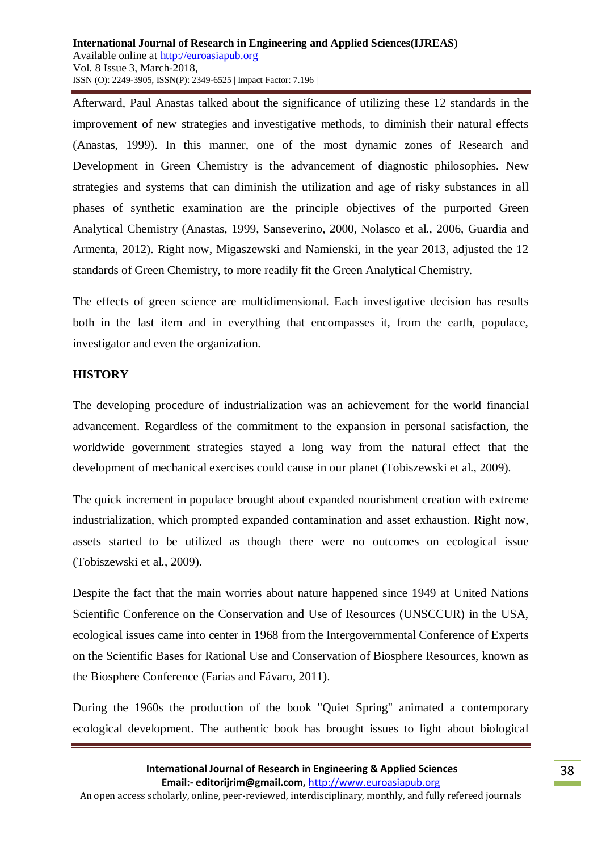Afterward, Paul Anastas talked about the significance of utilizing these 12 standards in the improvement of new strategies and investigative methods, to diminish their natural effects (Anastas, 1999). In this manner, one of the most dynamic zones of Research and Development in Green Chemistry is the advancement of diagnostic philosophies. New strategies and systems that can diminish the utilization and age of risky substances in all phases of synthetic examination are the principle objectives of the purported Green Analytical Chemistry (Anastas, 1999, Sanseverino, 2000, Nolasco et al., 2006, Guardia and Armenta, 2012). Right now, Migaszewski and Namienski, in the year 2013, adjusted the 12 standards of Green Chemistry, to more readily fit the Green Analytical Chemistry.

The effects of green science are multidimensional. Each investigative decision has results both in the last item and in everything that encompasses it, from the earth, populace, investigator and even the organization.

### **HISTORY**

The developing procedure of industrialization was an achievement for the world financial advancement. Regardless of the commitment to the expansion in personal satisfaction, the worldwide government strategies stayed a long way from the natural effect that the development of mechanical exercises could cause in our planet (Tobiszewski et al., 2009).

The quick increment in populace brought about expanded nourishment creation with extreme industrialization, which prompted expanded contamination and asset exhaustion. Right now, assets started to be utilized as though there were no outcomes on ecological issue (Tobiszewski et al., 2009).

Despite the fact that the main worries about nature happened since 1949 at United Nations Scientific Conference on the Conservation and Use of Resources (UNSCCUR) in the USA, ecological issues came into center in 1968 from the Intergovernmental Conference of Experts on the Scientific Bases for Rational Use and Conservation of Biosphere Resources, known as the Biosphere Conference (Farias and Fávaro, 2011).

During the 1960s the production of the book "Quiet Spring" animated a contemporary ecological development. The authentic book has brought issues to light about biological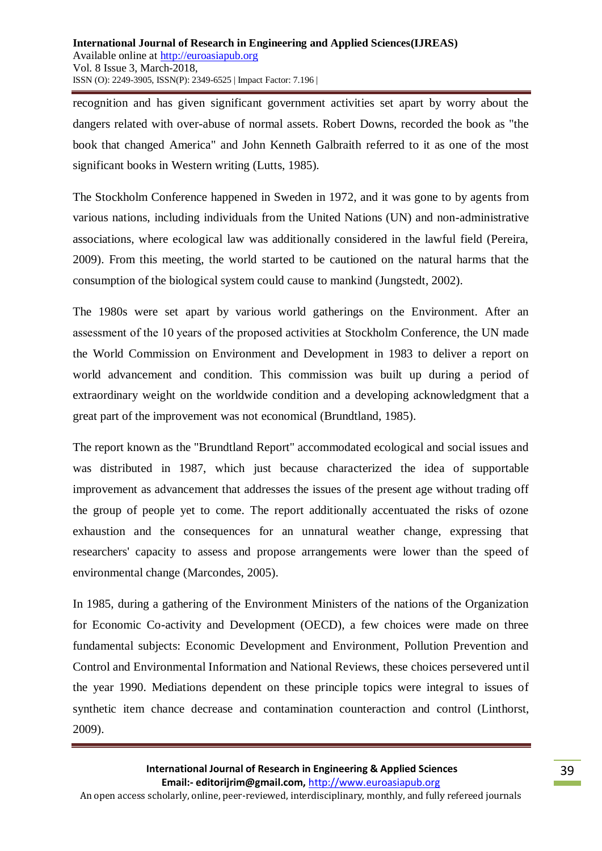recognition and has given significant government activities set apart by worry about the dangers related with over-abuse of normal assets. Robert Downs, recorded the book as "the book that changed America" and John Kenneth Galbraith referred to it as one of the most significant books in Western writing (Lutts, 1985).

The Stockholm Conference happened in Sweden in 1972, and it was gone to by agents from various nations, including individuals from the United Nations (UN) and non-administrative associations, where ecological law was additionally considered in the lawful field (Pereira, 2009). From this meeting, the world started to be cautioned on the natural harms that the consumption of the biological system could cause to mankind (Jungstedt, 2002).

The 1980s were set apart by various world gatherings on the Environment. After an assessment of the 10 years of the proposed activities at Stockholm Conference, the UN made the World Commission on Environment and Development in 1983 to deliver a report on world advancement and condition. This commission was built up during a period of extraordinary weight on the worldwide condition and a developing acknowledgment that a great part of the improvement was not economical (Brundtland, 1985).

The report known as the "Brundtland Report" accommodated ecological and social issues and was distributed in 1987, which just because characterized the idea of supportable improvement as advancement that addresses the issues of the present age without trading off the group of people yet to come. The report additionally accentuated the risks of ozone exhaustion and the consequences for an unnatural weather change, expressing that researchers' capacity to assess and propose arrangements were lower than the speed of environmental change (Marcondes, 2005).

In 1985, during a gathering of the Environment Ministers of the nations of the Organization for Economic Co-activity and Development (OECD), a few choices were made on three fundamental subjects: Economic Development and Environment, Pollution Prevention and Control and Environmental Information and National Reviews, these choices persevered until the year 1990. Mediations dependent on these principle topics were integral to issues of synthetic item chance decrease and contamination counteraction and control (Linthorst, 2009).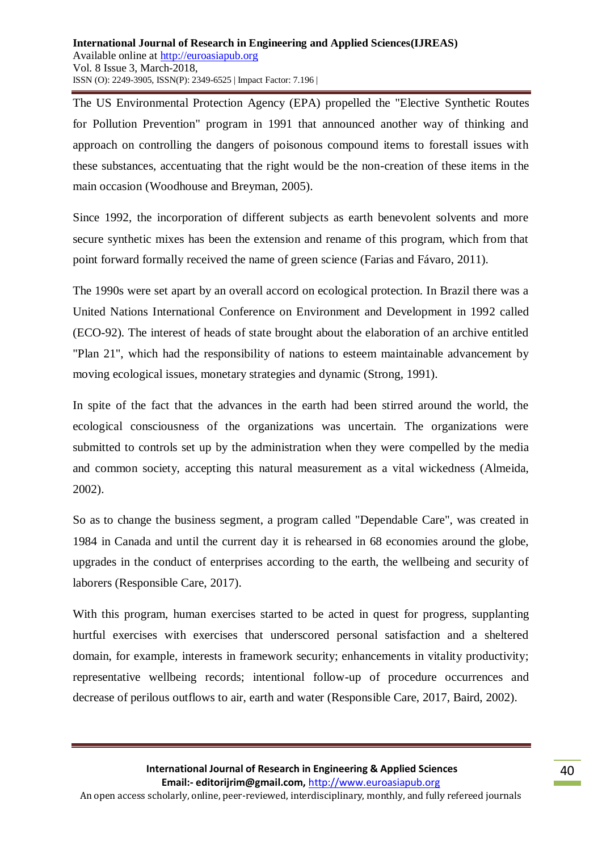The US Environmental Protection Agency (EPA) propelled the "Elective Synthetic Routes for Pollution Prevention" program in 1991 that announced another way of thinking and approach on controlling the dangers of poisonous compound items to forestall issues with these substances, accentuating that the right would be the non-creation of these items in the main occasion (Woodhouse and Breyman, 2005).

Since 1992, the incorporation of different subjects as earth benevolent solvents and more secure synthetic mixes has been the extension and rename of this program, which from that point forward formally received the name of green science (Farias and Fávaro, 2011).

The 1990s were set apart by an overall accord on ecological protection. In Brazil there was a United Nations International Conference on Environment and Development in 1992 called (ECO-92). The interest of heads of state brought about the elaboration of an archive entitled "Plan 21", which had the responsibility of nations to esteem maintainable advancement by moving ecological issues, monetary strategies and dynamic (Strong, 1991).

In spite of the fact that the advances in the earth had been stirred around the world, the ecological consciousness of the organizations was uncertain. The organizations were submitted to controls set up by the administration when they were compelled by the media and common society, accepting this natural measurement as a vital wickedness (Almeida, 2002).

So as to change the business segment, a program called "Dependable Care", was created in 1984 in Canada and until the current day it is rehearsed in 68 economies around the globe, upgrades in the conduct of enterprises according to the earth, the wellbeing and security of laborers (Responsible Care, 2017).

With this program, human exercises started to be acted in quest for progress, supplanting hurtful exercises with exercises that underscored personal satisfaction and a sheltered domain, for example, interests in framework security; enhancements in vitality productivity; representative wellbeing records; intentional follow-up of procedure occurrences and decrease of perilous outflows to air, earth and water (Responsible Care, 2017, Baird, 2002).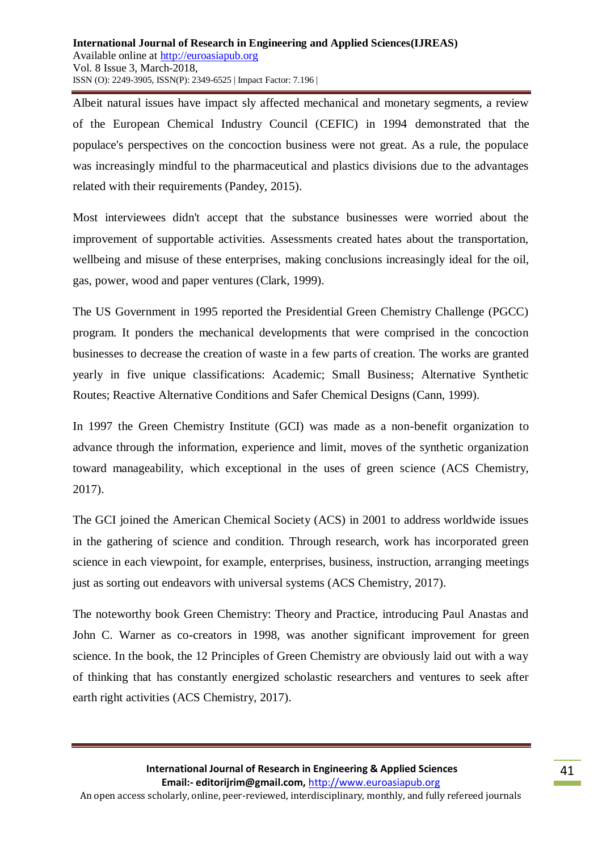Albeit natural issues have impact sly affected mechanical and monetary segments, a review of the European Chemical Industry Council (CEFIC) in 1994 demonstrated that the populace's perspectives on the concoction business were not great. As a rule, the populace was increasingly mindful to the pharmaceutical and plastics divisions due to the advantages related with their requirements (Pandey, 2015).

Most interviewees didn't accept that the substance businesses were worried about the improvement of supportable activities. Assessments created hates about the transportation, wellbeing and misuse of these enterprises, making conclusions increasingly ideal for the oil, gas, power, wood and paper ventures (Clark, 1999).

The US Government in 1995 reported the Presidential Green Chemistry Challenge (PGCC) program. It ponders the mechanical developments that were comprised in the concoction businesses to decrease the creation of waste in a few parts of creation. The works are granted yearly in five unique classifications: Academic; Small Business; Alternative Synthetic Routes; Reactive Alternative Conditions and Safer Chemical Designs (Cann, 1999).

In 1997 the Green Chemistry Institute (GCI) was made as a non-benefit organization to advance through the information, experience and limit, moves of the synthetic organization toward manageability, which exceptional in the uses of green science (ACS Chemistry, 2017).

The GCI joined the American Chemical Society (ACS) in 2001 to address worldwide issues in the gathering of science and condition. Through research, work has incorporated green science in each viewpoint, for example, enterprises, business, instruction, arranging meetings just as sorting out endeavors with universal systems (ACS Chemistry, 2017).

The noteworthy book Green Chemistry: Theory and Practice, introducing Paul Anastas and John C. Warner as co-creators in 1998, was another significant improvement for green science. In the book, the 12 Principles of Green Chemistry are obviously laid out with a way of thinking that has constantly energized scholastic researchers and ventures to seek after earth right activities (ACS Chemistry, 2017).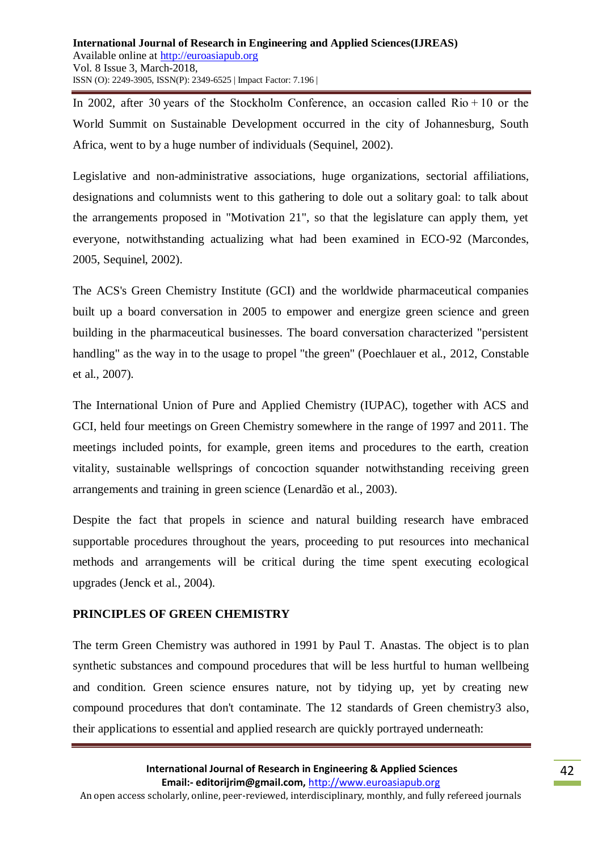In 2002, after 30 years of the Stockholm Conference, an occasion called Rio + 10 or the World Summit on Sustainable Development occurred in the city of Johannesburg, South Africa, went to by a huge number of individuals (Sequinel, 2002).

Legislative and non-administrative associations, huge organizations, sectorial affiliations, designations and columnists went to this gathering to dole out a solitary goal: to talk about the arrangements proposed in "Motivation 21", so that the legislature can apply them, yet everyone, notwithstanding actualizing what had been examined in ECO-92 (Marcondes, 2005, Sequinel, 2002).

The ACS's Green Chemistry Institute (GCI) and the worldwide pharmaceutical companies built up a board conversation in 2005 to empower and energize green science and green building in the pharmaceutical businesses. The board conversation characterized "persistent handling" as the way in to the usage to propel "the green" (Poechlauer et al., 2012, Constable et al., 2007).

The International Union of Pure and Applied Chemistry (IUPAC), together with ACS and GCI, held four meetings on Green Chemistry somewhere in the range of 1997 and 2011. The meetings included points, for example, green items and procedures to the earth, creation vitality, sustainable wellsprings of concoction squander notwithstanding receiving green arrangements and training in green science (Lenardão et al., 2003).

Despite the fact that propels in science and natural building research have embraced supportable procedures throughout the years, proceeding to put resources into mechanical methods and arrangements will be critical during the time spent executing ecological upgrades (Jenck et al., 2004).

# **PRINCIPLES OF GREEN CHEMISTRY**

The term Green Chemistry was authored in 1991 by Paul T. Anastas. The object is to plan synthetic substances and compound procedures that will be less hurtful to human wellbeing and condition. Green science ensures nature, not by tidying up, yet by creating new compound procedures that don't contaminate. The 12 standards of Green chemistry3 also, their applications to essential and applied research are quickly portrayed underneath: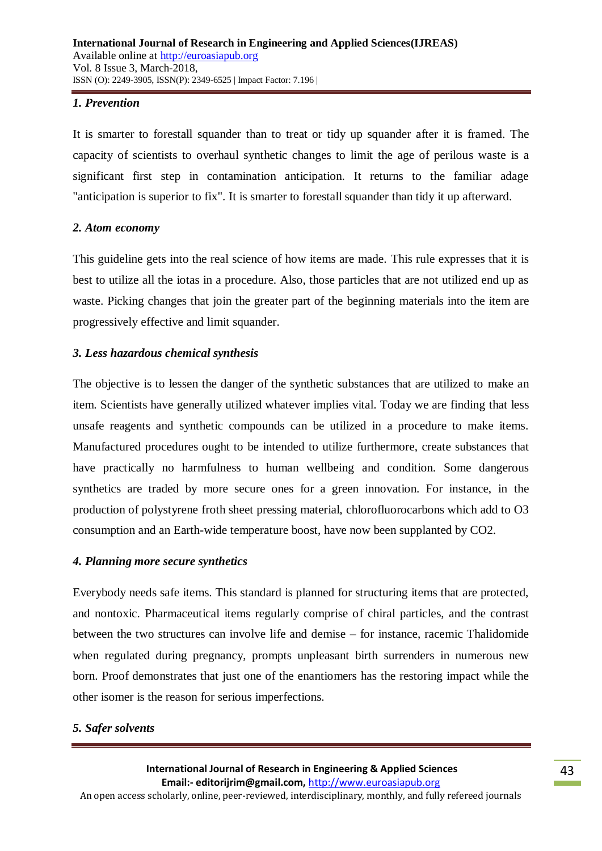### *1. Prevention*

It is smarter to forestall squander than to treat or tidy up squander after it is framed. The capacity of scientists to overhaul synthetic changes to limit the age of perilous waste is a significant first step in contamination anticipation. It returns to the familiar adage "anticipation is superior to fix". It is smarter to forestall squander than tidy it up afterward.

### *2. Atom economy*

This guideline gets into the real science of how items are made. This rule expresses that it is best to utilize all the iotas in a procedure. Also, those particles that are not utilized end up as waste. Picking changes that join the greater part of the beginning materials into the item are progressively effective and limit squander.

# *3. Less hazardous chemical synthesis*

The objective is to lessen the danger of the synthetic substances that are utilized to make an item. Scientists have generally utilized whatever implies vital. Today we are finding that less unsafe reagents and synthetic compounds can be utilized in a procedure to make items. Manufactured procedures ought to be intended to utilize furthermore, create substances that have practically no harmfulness to human wellbeing and condition. Some dangerous synthetics are traded by more secure ones for a green innovation. For instance, in the production of polystyrene froth sheet pressing material, chlorofluorocarbons which add to O3 consumption and an Earth-wide temperature boost, have now been supplanted by CO2.

### *4. Planning more secure synthetics*

Everybody needs safe items. This standard is planned for structuring items that are protected, and nontoxic. Pharmaceutical items regularly comprise of chiral particles, and the contrast between the two structures can involve life and demise – for instance, racemic Thalidomide when regulated during pregnancy, prompts unpleasant birth surrenders in numerous new born. Proof demonstrates that just one of the enantiomers has the restoring impact while the other isomer is the reason for serious imperfections.

# *5. Safer solvents*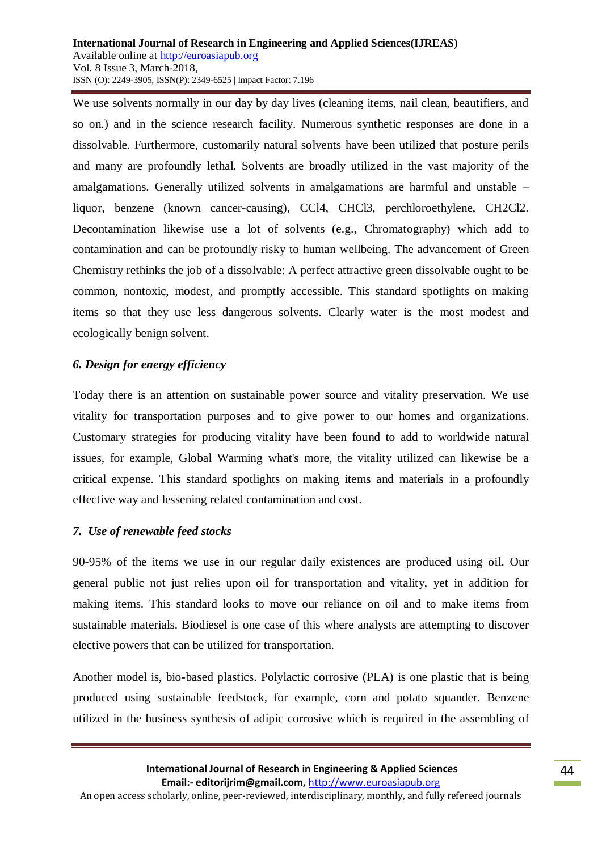We use solvents normally in our day by day lives (cleaning items, nail clean, beautifiers, and so on.) and in the science research facility. Numerous synthetic responses are done in a dissolvable. Furthermore, customarily natural solvents have been utilized that posture perils and many are profoundly lethal. Solvents are broadly utilized in the vast majority of the amalgamations. Generally utilized solvents in amalgamations are harmful and unstable – liquor, benzene (known cancer-causing), CCl4, CHCl3, perchloroethylene, CH2Cl2. Decontamination likewise use a lot of solvents (e.g., Chromatography) which add to contamination and can be profoundly risky to human wellbeing. The advancement of Green Chemistry rethinks the job of a dissolvable: A perfect attractive green dissolvable ought to be common, nontoxic, modest, and promptly accessible. This standard spotlights on making items so that they use less dangerous solvents. Clearly water is the most modest and ecologically benign solvent.

# *6. Design for energy efficiency*

Today there is an attention on sustainable power source and vitality preservation. We use vitality for transportation purposes and to give power to our homes and organizations. Customary strategies for producing vitality have been found to add to worldwide natural issues, for example, Global Warming what's more, the vitality utilized can likewise be a critical expense. This standard spotlights on making items and materials in a profoundly effective way and lessening related contamination and cost.

# *7. Use of renewable feed stocks*

90-95% of the items we use in our regular daily existences are produced using oil. Our general public not just relies upon oil for transportation and vitality, yet in addition for making items. This standard looks to move our reliance on oil and to make items from sustainable materials. Biodiesel is one case of this where analysts are attempting to discover elective powers that can be utilized for transportation.

Another model is, bio-based plastics. Polylactic corrosive (PLA) is one plastic that is being produced using sustainable feedstock, for example, corn and potato squander. Benzene utilized in the business synthesis of adipic corrosive which is required in the assembling of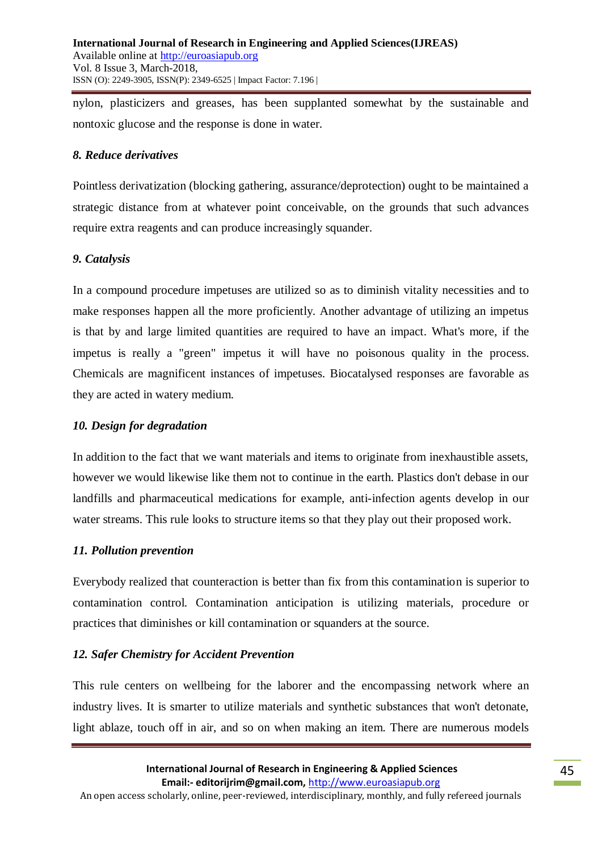nylon, plasticizers and greases, has been supplanted somewhat by the sustainable and nontoxic glucose and the response is done in water.

### *8. Reduce derivatives*

Pointless derivatization (blocking gathering, assurance/deprotection) ought to be maintained a strategic distance from at whatever point conceivable, on the grounds that such advances require extra reagents and can produce increasingly squander.

### *9. Catalysis*

In a compound procedure impetuses are utilized so as to diminish vitality necessities and to make responses happen all the more proficiently. Another advantage of utilizing an impetus is that by and large limited quantities are required to have an impact. What's more, if the impetus is really a "green" impetus it will have no poisonous quality in the process. Chemicals are magnificent instances of impetuses. Biocatalysed responses are favorable as they are acted in watery medium.

### *10. Design for degradation*

In addition to the fact that we want materials and items to originate from inexhaustible assets, however we would likewise like them not to continue in the earth. Plastics don't debase in our landfills and pharmaceutical medications for example, anti-infection agents develop in our water streams. This rule looks to structure items so that they play out their proposed work.

### *11. Pollution prevention*

Everybody realized that counteraction is better than fix from this contamination is superior to contamination control. Contamination anticipation is utilizing materials, procedure or practices that diminishes or kill contamination or squanders at the source.

# *12. Safer Chemistry for Accident Prevention*

This rule centers on wellbeing for the laborer and the encompassing network where an industry lives. It is smarter to utilize materials and synthetic substances that won't detonate, light ablaze, touch off in air, and so on when making an item. There are numerous models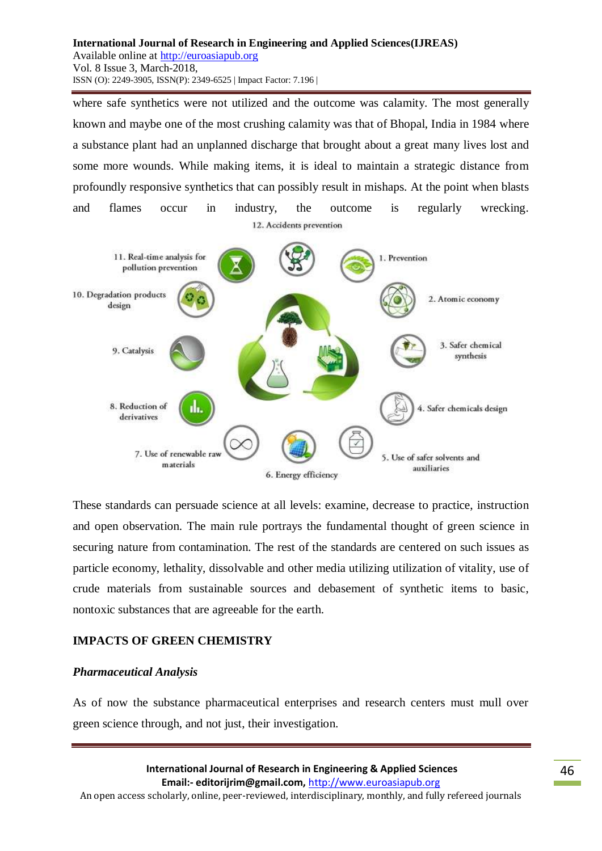where safe synthetics were not utilized and the outcome was calamity. The most generally known and maybe one of the most crushing calamity was that of Bhopal, India in 1984 where a substance plant had an unplanned discharge that brought about a great many lives lost and some more wounds. While making items, it is ideal to maintain a strategic distance from profoundly responsive synthetics that can possibly result in mishaps. At the point when blasts and flames occur in industry, the outcome is regularly wrecking. 12. Accidents prevention



These standards can persuade science at all levels: examine, decrease to practice, instruction and open observation. The main rule portrays the fundamental thought of green science in securing nature from contamination. The rest of the standards are centered on such issues as particle economy, lethality, dissolvable and other media utilizing utilization of vitality, use of crude materials from sustainable sources and debasement of synthetic items to basic, nontoxic substances that are agreeable for the earth.

# **IMPACTS OF GREEN CHEMISTRY**

### *Pharmaceutical Analysis*

As of now the substance pharmaceutical enterprises and research centers must mull over green science through, and not just, their investigation.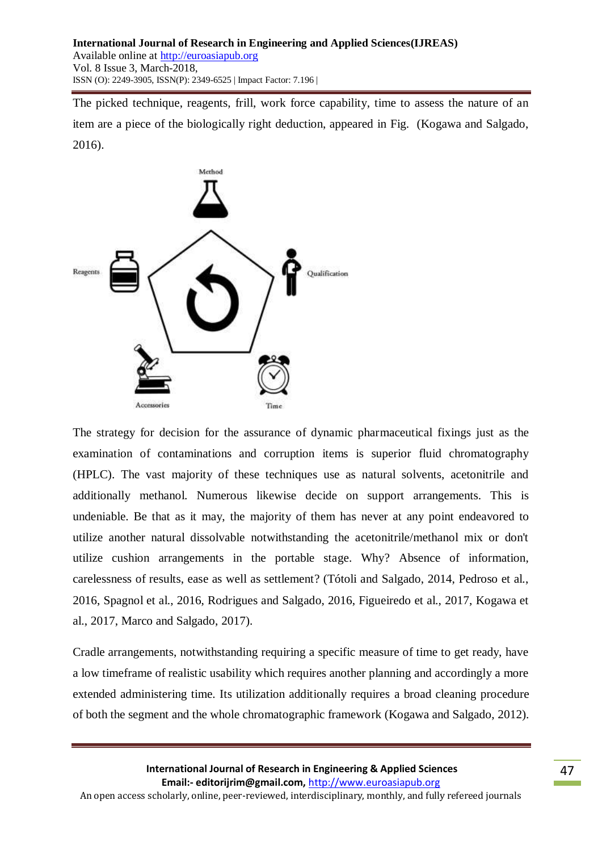The picked technique, reagents, frill, work force capability, time to assess the nature of an item are a piece of the biologically right deduction, appeared in Fig. (Kogawa and Salgado, 2016).



The strategy for decision for the assurance of dynamic pharmaceutical fixings just as the examination of contaminations and corruption items is superior fluid chromatography (HPLC). The vast majority of these techniques use as natural solvents, acetonitrile and additionally methanol. Numerous likewise decide on support arrangements. This is undeniable. Be that as it may, the majority of them has never at any point endeavored to utilize another natural dissolvable notwithstanding the acetonitrile/methanol mix or don't utilize cushion arrangements in the portable stage. Why? Absence of information, carelessness of results, ease as well as settlement? (Tótoli and Salgado, 2014, Pedroso et al., 2016, Spagnol et al., 2016, Rodrigues and Salgado, 2016, Figueiredo et al., 2017, Kogawa et al., 2017, Marco and Salgado, 2017).

Cradle arrangements, notwithstanding requiring a specific measure of time to get ready, have a low timeframe of realistic usability which requires another planning and accordingly a more extended administering time. Its utilization additionally requires a broad cleaning procedure of both the segment and the whole chromatographic framework (Kogawa and Salgado, 2012).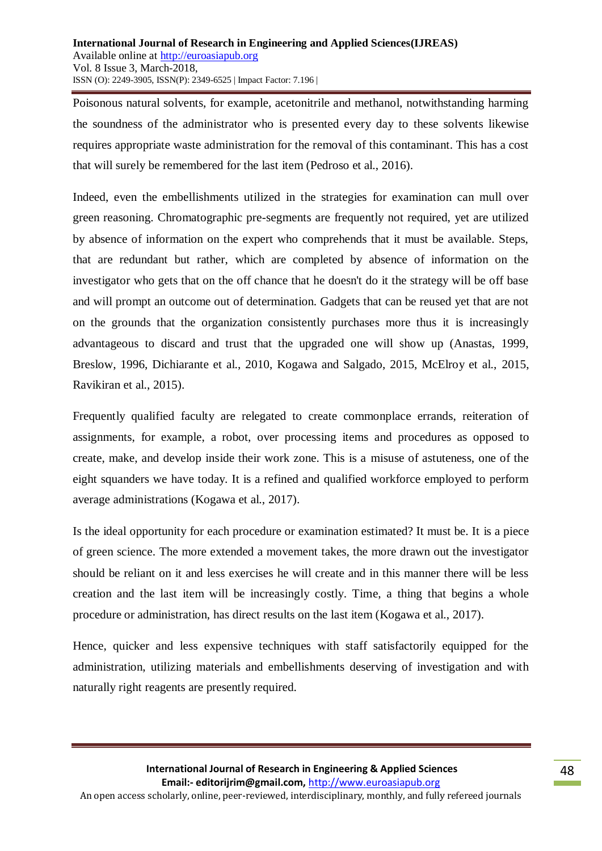Poisonous natural solvents, for example, acetonitrile and methanol, notwithstanding harming the soundness of the administrator who is presented every day to these solvents likewise requires appropriate waste administration for the removal of this contaminant. This has a cost that will surely be remembered for the last item (Pedroso et al., 2016).

Indeed, even the embellishments utilized in the strategies for examination can mull over green reasoning. Chromatographic pre-segments are frequently not required, yet are utilized by absence of information on the expert who comprehends that it must be available. Steps, that are redundant but rather, which are completed by absence of information on the investigator who gets that on the off chance that he doesn't do it the strategy will be off base and will prompt an outcome out of determination. Gadgets that can be reused yet that are not on the grounds that the organization consistently purchases more thus it is increasingly advantageous to discard and trust that the upgraded one will show up (Anastas, 1999, Breslow, 1996, Dichiarante et al., 2010, Kogawa and Salgado, 2015, McElroy et al., 2015, Ravikiran et al., 2015).

Frequently qualified faculty are relegated to create commonplace errands, reiteration of assignments, for example, a robot, over processing items and procedures as opposed to create, make, and develop inside their work zone. This is a misuse of astuteness, one of the eight squanders we have today. It is a refined and qualified workforce employed to perform average administrations (Kogawa et al., 2017).

Is the ideal opportunity for each procedure or examination estimated? It must be. It is a piece of green science. The more extended a movement takes, the more drawn out the investigator should be reliant on it and less exercises he will create and in this manner there will be less creation and the last item will be increasingly costly. Time, a thing that begins a whole procedure or administration, has direct results on the last item (Kogawa et al., 2017).

Hence, quicker and less expensive techniques with staff satisfactorily equipped for the administration, utilizing materials and embellishments deserving of investigation and with naturally right reagents are presently required.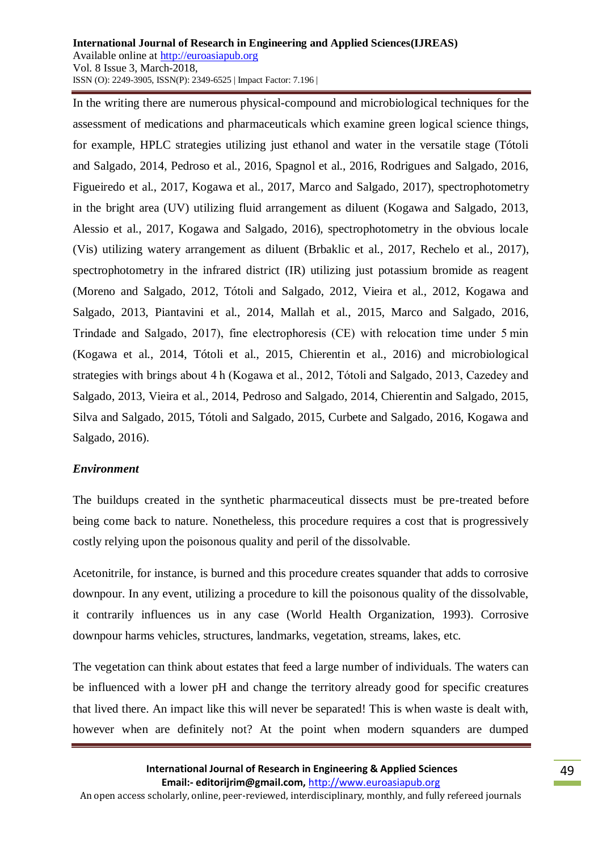In the writing there are numerous physical-compound and microbiological techniques for the assessment of medications and pharmaceuticals which examine green logical science things, for example, HPLC strategies utilizing just ethanol and water in the versatile stage (Tótoli and Salgado, 2014, Pedroso et al., 2016, Spagnol et al., 2016, Rodrigues and Salgado, 2016, Figueiredo et al., 2017, Kogawa et al., 2017, Marco and Salgado, 2017), spectrophotometry in the bright area (UV) utilizing fluid arrangement as diluent (Kogawa and Salgado, 2013, Alessio et al., 2017, Kogawa and Salgado, 2016), spectrophotometry in the obvious locale (Vis) utilizing watery arrangement as diluent (Brbaklic et al., 2017, Rechelo et al., 2017), spectrophotometry in the infrared district (IR) utilizing just potassium bromide as reagent (Moreno and Salgado, 2012, Tótoli and Salgado, 2012, Vieira et al., 2012, Kogawa and Salgado, 2013, Piantavini et al., 2014, Mallah et al., 2015, Marco and Salgado, 2016, Trindade and Salgado, 2017), fine electrophoresis (CE) with relocation time under 5 min (Kogawa et al., 2014, Tótoli et al., 2015, Chierentin et al., 2016) and microbiological strategies with brings about 4 h (Kogawa et al., 2012, Tótoli and Salgado, 2013, Cazedey and Salgado, 2013, Vieira et al., 2014, Pedroso and Salgado, 2014, Chierentin and Salgado, 2015, Silva and Salgado, 2015, Tótoli and Salgado, 2015, Curbete and Salgado, 2016, Kogawa and Salgado, 2016).

# *Environment*

The buildups created in the synthetic pharmaceutical dissects must be pre-treated before being come back to nature. Nonetheless, this procedure requires a cost that is progressively costly relying upon the poisonous quality and peril of the dissolvable.

Acetonitrile, for instance, is burned and this procedure creates squander that adds to corrosive downpour. In any event, utilizing a procedure to kill the poisonous quality of the dissolvable, it contrarily influences us in any case (World Health Organization, 1993). Corrosive downpour harms vehicles, structures, landmarks, vegetation, streams, lakes, etc.

The vegetation can think about estates that feed a large number of individuals. The waters can be influenced with a lower pH and change the territory already good for specific creatures that lived there. An impact like this will never be separated! This is when waste is dealt with, however when are definitely not? At the point when modern squanders are dumped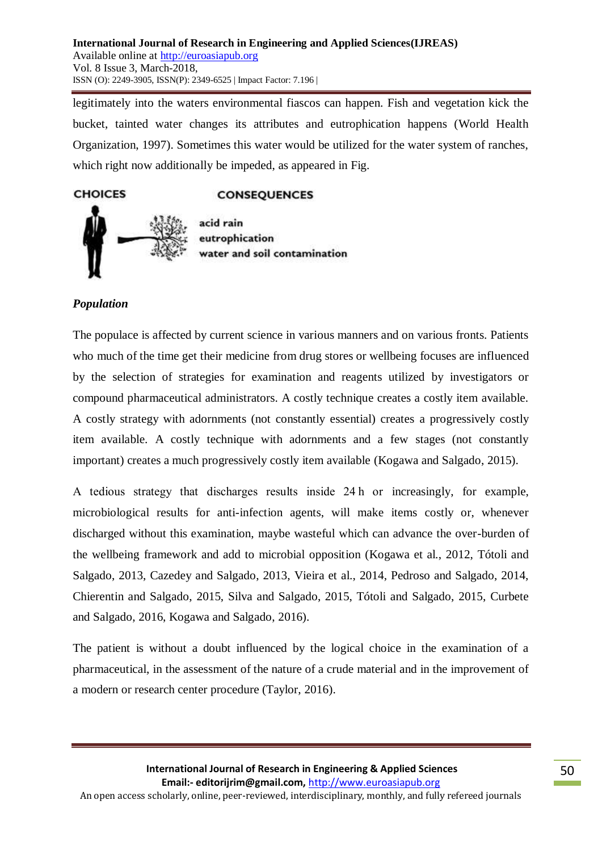legitimately into the waters environmental fiascos can happen. Fish and vegetation kick the bucket, tainted water changes its attributes and eutrophication happens (World Health Organization, 1997). Sometimes this water would be utilized for the water system of ranches, which right now additionally be impeded, as appeared in Fig.

# **CONSEQUENCES**



acid rain eutrophication water and soil contamination

# *Population*

**CHOICES** 

The populace is affected by current science in various manners and on various fronts. Patients who much of the time get their medicine from drug stores or wellbeing focuses are influenced by the selection of strategies for examination and reagents utilized by investigators or compound pharmaceutical administrators. A costly technique creates a costly item available. A costly strategy with adornments (not constantly essential) creates a progressively costly item available. A costly technique with adornments and a few stages (not constantly important) creates a much progressively costly item available (Kogawa and Salgado, 2015).

A tedious strategy that discharges results inside 24 h or increasingly, for example, microbiological results for anti-infection agents, will make items costly or, whenever discharged without this examination, maybe wasteful which can advance the over-burden of the wellbeing framework and add to microbial opposition (Kogawa et al., 2012, Tótoli and Salgado, 2013, Cazedey and Salgado, 2013, Vieira et al., 2014, Pedroso and Salgado, 2014, Chierentin and Salgado, 2015, Silva and Salgado, 2015, Tótoli and Salgado, 2015, Curbete and Salgado, 2016, Kogawa and Salgado, 2016).

The patient is without a doubt influenced by the logical choice in the examination of a pharmaceutical, in the assessment of the nature of a crude material and in the improvement of a modern or research center procedure (Taylor, 2016).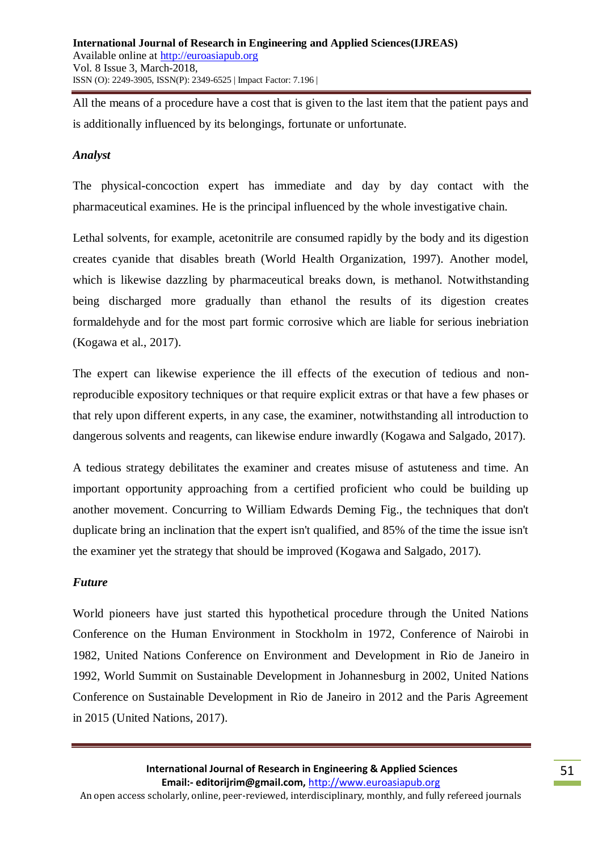All the means of a procedure have a cost that is given to the last item that the patient pays and is additionally influenced by its belongings, fortunate or unfortunate.

### *Analyst*

The physical-concoction expert has immediate and day by day contact with the pharmaceutical examines. He is the principal influenced by the whole investigative chain.

Lethal solvents, for example, acetonitrile are consumed rapidly by the body and its digestion creates cyanide that disables breath (World Health Organization, 1997). Another model, which is likewise dazzling by pharmaceutical breaks down, is methanol. Notwithstanding being discharged more gradually than ethanol the results of its digestion creates formaldehyde and for the most part formic corrosive which are liable for serious inebriation (Kogawa et al., 2017).

The expert can likewise experience the ill effects of the execution of tedious and nonreproducible expository techniques or that require explicit extras or that have a few phases or that rely upon different experts, in any case, the examiner, notwithstanding all introduction to dangerous solvents and reagents, can likewise endure inwardly (Kogawa and Salgado, 2017).

A tedious strategy debilitates the examiner and creates misuse of astuteness and time. An important opportunity approaching from a certified proficient who could be building up another movement. Concurring to William Edwards Deming Fig., the techniques that don't duplicate bring an inclination that the expert isn't qualified, and 85% of the time the issue isn't the examiner yet the strategy that should be improved (Kogawa and Salgado, 2017).

### *Future*

World pioneers have just started this hypothetical procedure through the United Nations Conference on the Human Environment in Stockholm in 1972, Conference of Nairobi in 1982, United Nations Conference on Environment and Development in Rio de Janeiro in 1992, World Summit on Sustainable Development in Johannesburg in 2002, United Nations Conference on Sustainable Development in Rio de Janeiro in 2012 and the Paris Agreement in 2015 (United Nations, 2017).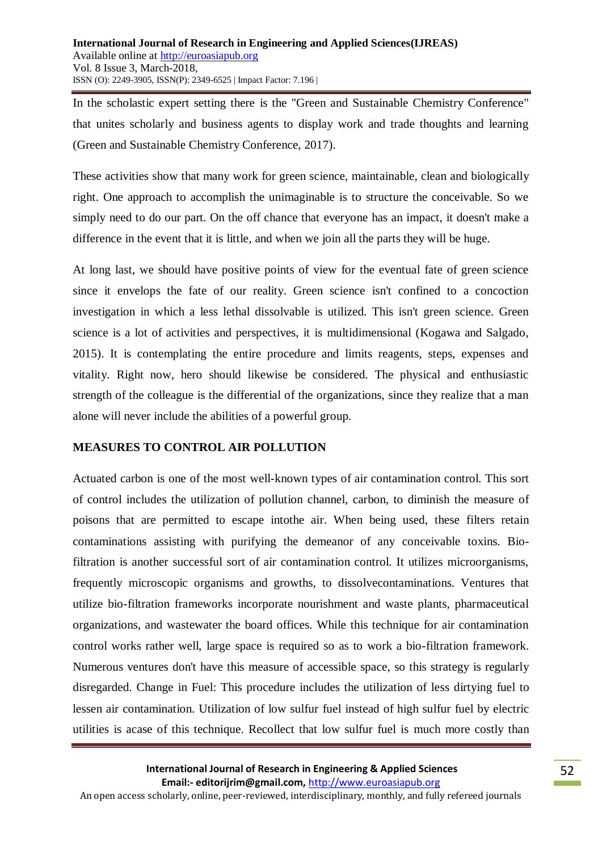In the scholastic expert setting there is the "Green and Sustainable Chemistry Conference" that unites scholarly and business agents to display work and trade thoughts and learning (Green and Sustainable Chemistry Conference, 2017).

These activities show that many work for green science, maintainable, clean and biologically right. One approach to accomplish the unimaginable is to structure the conceivable. So we simply need to do our part. On the off chance that everyone has an impact, it doesn't make a difference in the event that it is little, and when we join all the parts they will be huge.

At long last, we should have positive points of view for the eventual fate of green science since it envelops the fate of our reality. Green science isn't confined to a concoction investigation in which a less lethal dissolvable is utilized. This isn't green science. Green science is a lot of activities and perspectives, it is multidimensional (Kogawa and Salgado, 2015). It is contemplating the entire procedure and limits reagents, steps, expenses and vitality. Right now, hero should likewise be considered. The physical and enthusiastic strength of the colleague is the differential of the organizations, since they realize that a man alone will never include the abilities of a powerful group.

# **MEASURES TO CONTROL AIR POLLUTION**

Actuated carbon is one of the most well-known types of air contamination control. This sort of control includes the utilization of pollution channel, carbon, to diminish the measure of poisons that are permitted to escape intothe air. When being used, these filters retain contaminations assisting with purifying the demeanor of any conceivable toxins. Biofiltration is another successful sort of air contamination control. It utilizes microorganisms, frequently microscopic organisms and growths, to dissolvecontaminations. Ventures that utilize bio-filtration frameworks incorporate nourishment and waste plants, pharmaceutical organizations, and wastewater the board offices. While this technique for air contamination control works rather well, large space is required so as to work a bio-filtration framework. Numerous ventures don't have this measure of accessible space, so this strategy is regularly disregarded. Change in Fuel: This procedure includes the utilization of less dirtying fuel to lessen air contamination. Utilization of low sulfur fuel instead of high sulfur fuel by electric utilities is acase of this technique. Recollect that low sulfur fuel is much more costly than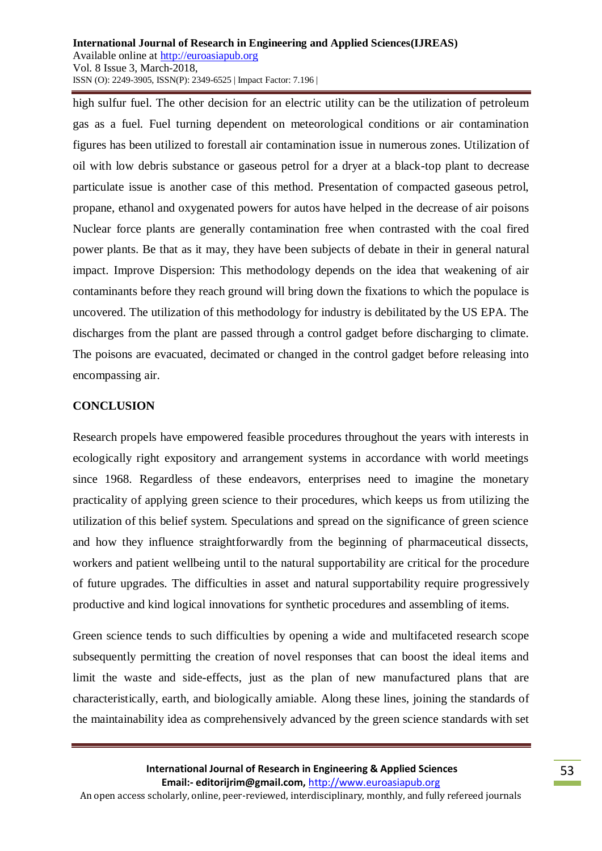high sulfur fuel. The other decision for an electric utility can be the utilization of petroleum gas as a fuel. Fuel turning dependent on meteorological conditions or air contamination figures has been utilized to forestall air contamination issue in numerous zones. Utilization of oil with low debris substance or gaseous petrol for a dryer at a black-top plant to decrease particulate issue is another case of this method. Presentation of compacted gaseous petrol, propane, ethanol and oxygenated powers for autos have helped in the decrease of air poisons Nuclear force plants are generally contamination free when contrasted with the coal fired power plants. Be that as it may, they have been subjects of debate in their in general natural impact. Improve Dispersion: This methodology depends on the idea that weakening of air contaminants before they reach ground will bring down the fixations to which the populace is uncovered. The utilization of this methodology for industry is debilitated by the US EPA. The discharges from the plant are passed through a control gadget before discharging to climate. The poisons are evacuated, decimated or changed in the control gadget before releasing into encompassing air.

### **CONCLUSION**

Research propels have empowered feasible procedures throughout the years with interests in ecologically right expository and arrangement systems in accordance with world meetings since 1968. Regardless of these endeavors, enterprises need to imagine the monetary practicality of applying green science to their procedures, which keeps us from utilizing the utilization of this belief system. Speculations and spread on the significance of green science and how they influence straightforwardly from the beginning of pharmaceutical dissects, workers and patient wellbeing until to the natural supportability are critical for the procedure of future upgrades. The difficulties in asset and natural supportability require progressively productive and kind logical innovations for synthetic procedures and assembling of items.

Green science tends to such difficulties by opening a wide and multifaceted research scope subsequently permitting the creation of novel responses that can boost the ideal items and limit the waste and side-effects, just as the plan of new manufactured plans that are characteristically, earth, and biologically amiable. Along these lines, joining the standards of the maintainability idea as comprehensively advanced by the green science standards with set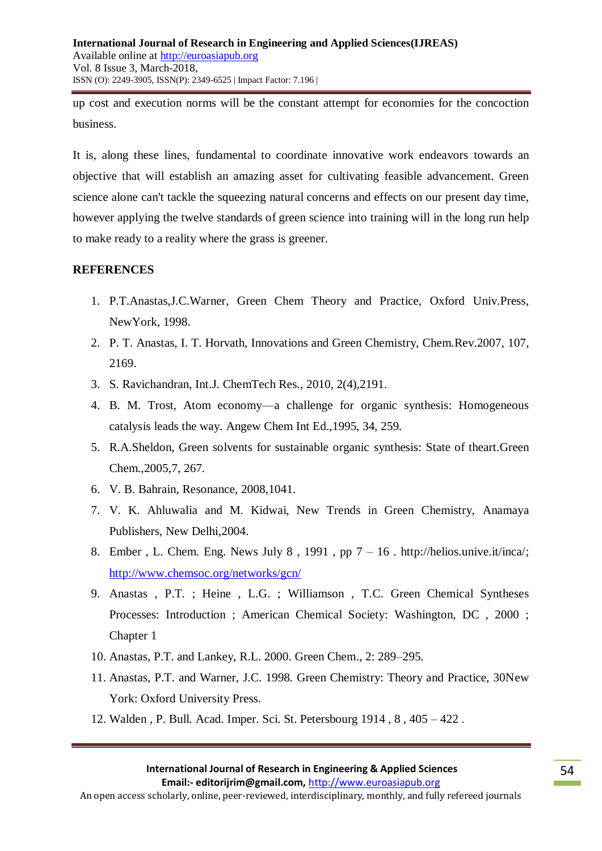up cost and execution norms will be the constant attempt for economies for the concoction business.

It is, along these lines, fundamental to coordinate innovative work endeavors towards an objective that will establish an amazing asset for cultivating feasible advancement. Green science alone can't tackle the squeezing natural concerns and effects on our present day time, however applying the twelve standards of green science into training will in the long run help to make ready to a reality where the grass is greener.

# **REFERENCES**

- 1. P.T.Anastas,J.C.Warner, Green Chem Theory and Practice, Oxford Univ.Press, NewYork, 1998.
- 2. P. T. Anastas, I. T. Horvath, Innovations and Green Chemistry, Chem.Rev.2007, 107, 2169.
- 3. S. Ravichandran, Int.J. ChemTech Res., 2010, 2(4),2191.
- 4. B. M. Trost, Atom economy—a challenge for organic synthesis: Homogeneous catalysis leads the way. Angew Chem Int Ed.,1995, 34, 259.
- 5. R.A.Sheldon, Green solvents for sustainable organic synthesis: State of theart.Green Chem.,2005,7, 267.
- 6. V. B. Bahrain, Resonance, 2008,1041.
- 7. V. K. Ahluwalia and M. Kidwai, New Trends in Green Chemistry, Anamaya Publishers, New Delhi,2004.
- 8. Ember, L. Chem. Eng. News July 8, 1991, pp  $7 16$ . http://helios.unive.it/inca/; <http://www.chemsoc.org/networks/gcn/>
- 9. Anastas , P.T. ; Heine , L.G. ; Williamson , T.C. Green Chemical Syntheses Processes: Introduction ; American Chemical Society: Washington, DC , 2000 ; Chapter 1
- 10. Anastas, P.T. and Lankey, R.L. 2000. Green Chem., 2: 289–295.
- 11. Anastas, P.T. and Warner, J.C. 1998. Green Chemistry: Theory and Practice, 30New York: Oxford University Press.
- 12. Walden , P. Bull. Acad. Imper. Sci. St. Petersbourg 1914 , 8 , 405 422 .

An open access scholarly, online, peer-reviewed, interdisciplinary, monthly, and fully refereed journals